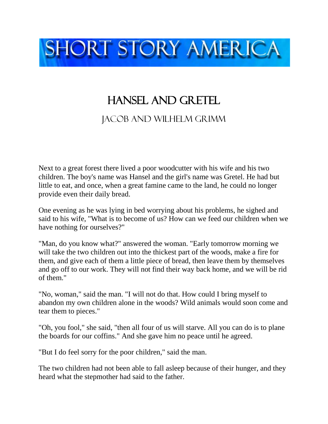

## Hansel and Gretel

## Jacob and Wilhelm grimm

Next to a great forest there lived a poor woodcutter with his wife and his two children. The boy's name was Hansel and the girl's name was Gretel. He had but little to eat, and once, when a great famine came to the land, he could no longer provide even their daily bread.

One evening as he was lying in bed worrying about his problems, he sighed and said to his wife, "What is to become of us? How can we feed our children when we have nothing for ourselves?"

"Man, do you know what?" answered the woman. "Early tomorrow morning we will take the two children out into the thickest part of the woods, make a fire for them, and give each of them a little piece of bread, then leave them by themselves and go off to our work. They will not find their way back home, and we will be rid of them."

"No, woman," said the man. "I will not do that. How could I bring myself to abandon my own children alone in the woods? Wild animals would soon come and tear them to pieces."

"Oh, you fool," she said, "then all four of us will starve. All you can do is to plane the boards for our coffins." And she gave him no peace until he agreed.

"But I do feel sorry for the poor children," said the man.

The two children had not been able to fall asleep because of their hunger, and they heard what the stepmother had said to the father.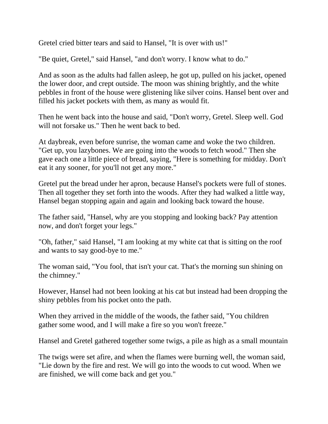Gretel cried bitter tears and said to Hansel, "It is over with us!"

"Be quiet, Gretel," said Hansel, "and don't worry. I know what to do."

And as soon as the adults had fallen asleep, he got up, pulled on his jacket, opened the lower door, and crept outside. The moon was shining brightly, and the white pebbles in front of the house were glistening like silver coins. Hansel bent over and filled his jacket pockets with them, as many as would fit.

Then he went back into the house and said, "Don't worry, Gretel. Sleep well. God will not forsake us." Then he went back to bed.

At daybreak, even before sunrise, the woman came and woke the two children. "Get up, you lazybones. We are going into the woods to fetch wood." Then she gave each one a little piece of bread, saying, "Here is something for midday. Don't eat it any sooner, for you'll not get any more."

Gretel put the bread under her apron, because Hansel's pockets were full of stones. Then all together they set forth into the woods. After they had walked a little way, Hansel began stopping again and again and looking back toward the house.

The father said, "Hansel, why are you stopping and looking back? Pay attention now, and don't forget your legs."

"Oh, father," said Hansel, "I am looking at my white cat that is sitting on the roof and wants to say good-bye to me."

The woman said, "You fool, that isn't your cat. That's the morning sun shining on the chimney."

However, Hansel had not been looking at his cat but instead had been dropping the shiny pebbles from his pocket onto the path.

When they arrived in the middle of the woods, the father said, "You children gather some wood, and I will make a fire so you won't freeze."

Hansel and Gretel gathered together some twigs, a pile as high as a small mountain

The twigs were set afire, and when the flames were burning well, the woman said, "Lie down by the fire and rest. We will go into the woods to cut wood. When we are finished, we will come back and get you."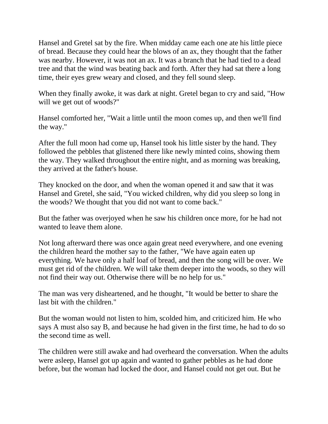Hansel and Gretel sat by the fire. When midday came each one ate his little piece of bread. Because they could hear the blows of an ax, they thought that the father was nearby. However, it was not an ax. It was a branch that he had tied to a dead tree and that the wind was beating back and forth. After they had sat there a long time, their eyes grew weary and closed, and they fell sound sleep.

When they finally awoke, it was dark at night. Gretel began to cry and said, "How will we get out of woods?"

Hansel comforted her, "Wait a little until the moon comes up, and then we'll find the way."

After the full moon had come up, Hansel took his little sister by the hand. They followed the pebbles that glistened there like newly minted coins, showing them the way. They walked throughout the entire night, and as morning was breaking, they arrived at the father's house.

They knocked on the door, and when the woman opened it and saw that it was Hansel and Gretel, she said, "You wicked children, why did you sleep so long in the woods? We thought that you did not want to come back."

But the father was overjoyed when he saw his children once more, for he had not wanted to leave them alone.

Not long afterward there was once again great need everywhere, and one evening the children heard the mother say to the father, "We have again eaten up everything. We have only a half loaf of bread, and then the song will be over. We must get rid of the children. We will take them deeper into the woods, so they will not find their way out. Otherwise there will be no help for us."

The man was very disheartened, and he thought, "It would be better to share the last bit with the children."

But the woman would not listen to him, scolded him, and criticized him. He who says A must also say B, and because he had given in the first time, he had to do so the second time as well.

The children were still awake and had overheard the conversation. When the adults were asleep, Hansel got up again and wanted to gather pebbles as he had done before, but the woman had locked the door, and Hansel could not get out. But he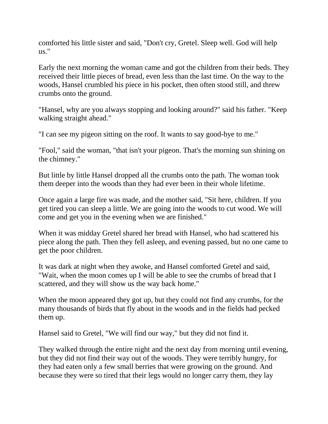comforted his little sister and said, "Don't cry, Gretel. Sleep well. God will help us."

Early the next morning the woman came and got the children from their beds. They received their little pieces of bread, even less than the last time. On the way to the woods, Hansel crumbled his piece in his pocket, then often stood still, and threw crumbs onto the ground.

"Hansel, why are you always stopping and looking around?" said his father. "Keep walking straight ahead."

"I can see my pigeon sitting on the roof. It wants to say good-bye to me."

"Fool," said the woman, "that isn't your pigeon. That's the morning sun shining on the chimney."

But little by little Hansel dropped all the crumbs onto the path. The woman took them deeper into the woods than they had ever been in their whole lifetime.

Once again a large fire was made, and the mother said, "Sit here, children. If you get tired you can sleep a little. We are going into the woods to cut wood. We will come and get you in the evening when we are finished."

When it was midday Gretel shared her bread with Hansel, who had scattered his piece along the path. Then they fell asleep, and evening passed, but no one came to get the poor children.

It was dark at night when they awoke, and Hansel comforted Gretel and said, "Wait, when the moon comes up I will be able to see the crumbs of bread that I scattered, and they will show us the way back home."

When the moon appeared they got up, but they could not find any crumbs, for the many thousands of birds that fly about in the woods and in the fields had pecked them up.

Hansel said to Gretel, "We will find our way," but they did not find it.

They walked through the entire night and the next day from morning until evening, but they did not find their way out of the woods. They were terribly hungry, for they had eaten only a few small berries that were growing on the ground. And because they were so tired that their legs would no longer carry them, they lay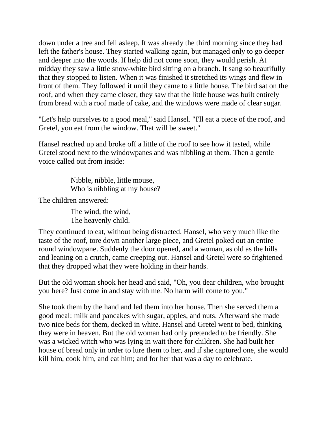down under a tree and fell asleep. It was already the third morning since they had left the father's house. They started walking again, but managed only to go deeper and deeper into the woods. If help did not come soon, they would perish. At midday they saw a little snow-white bird sitting on a branch. It sang so beautifully that they stopped to listen. When it was finished it stretched its wings and flew in front of them. They followed it until they came to a little house. The bird sat on the roof, and when they came closer, they saw that the little house was built entirely from bread with a roof made of cake, and the windows were made of clear sugar.

"Let's help ourselves to a good meal," said Hansel. "I'll eat a piece of the roof, and Gretel, you eat from the window. That will be sweet."

Hansel reached up and broke off a little of the roof to see how it tasted, while Gretel stood next to the windowpanes and was nibbling at them. Then a gentle voice called out from inside:

> Nibble, nibble, little mouse, Who is nibbling at my house?

The children answered:

The wind, the wind, The heavenly child.

They continued to eat, without being distracted. Hansel, who very much like the taste of the roof, tore down another large piece, and Gretel poked out an entire round windowpane. Suddenly the door opened, and a woman, as old as the hills and leaning on a crutch, came creeping out. Hansel and Gretel were so frightened that they dropped what they were holding in their hands.

But the old woman shook her head and said, "Oh, you dear children, who brought you here? Just come in and stay with me. No harm will come to you."

She took them by the hand and led them into her house. Then she served them a good meal: milk and pancakes with sugar, apples, and nuts. Afterward she made two nice beds for them, decked in white. Hansel and Gretel went to bed, thinking they were in heaven. But the old woman had only pretended to be friendly. She was a wicked witch who was lying in wait there for children. She had built her house of bread only in order to lure them to her, and if she captured one, she would kill him, cook him, and eat him; and for her that was a day to celebrate.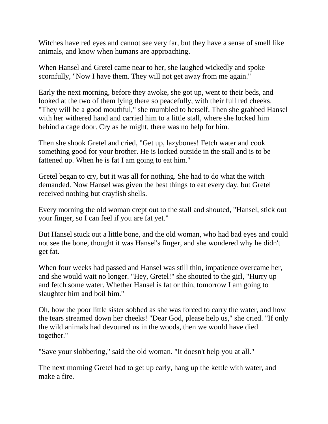Witches have red eyes and cannot see very far, but they have a sense of smell like animals, and know when humans are approaching.

When Hansel and Gretel came near to her, she laughed wickedly and spoke scornfully, "Now I have them. They will not get away from me again."

Early the next morning, before they awoke, she got up, went to their beds, and looked at the two of them lying there so peacefully, with their full red cheeks. "They will be a good mouthful," she mumbled to herself. Then she grabbed Hansel with her withered hand and carried him to a little stall, where she locked him behind a cage door. Cry as he might, there was no help for him.

Then she shook Gretel and cried, "Get up, lazybones! Fetch water and cook something good for your brother. He is locked outside in the stall and is to be fattened up. When he is fat I am going to eat him."

Gretel began to cry, but it was all for nothing. She had to do what the witch demanded. Now Hansel was given the best things to eat every day, but Gretel received nothing but crayfish shells.

Every morning the old woman crept out to the stall and shouted, "Hansel, stick out your finger, so I can feel if you are fat yet."

But Hansel stuck out a little bone, and the old woman, who had bad eyes and could not see the bone, thought it was Hansel's finger, and she wondered why he didn't get fat.

When four weeks had passed and Hansel was still thin, impatience overcame her, and she would wait no longer. "Hey, Gretel!" she shouted to the girl, "Hurry up and fetch some water. Whether Hansel is fat or thin, tomorrow I am going to slaughter him and boil him."

Oh, how the poor little sister sobbed as she was forced to carry the water, and how the tears streamed down her cheeks! "Dear God, please help us," she cried. "If only the wild animals had devoured us in the woods, then we would have died together."

"Save your slobbering," said the old woman. "It doesn't help you at all."

The next morning Gretel had to get up early, hang up the kettle with water, and make a fire.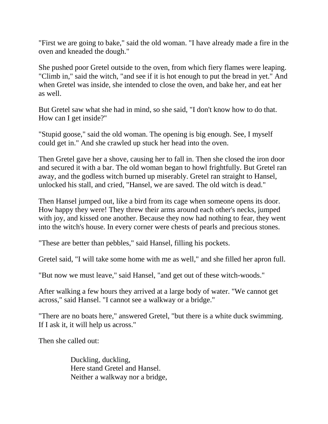"First we are going to bake," said the old woman. "I have already made a fire in the oven and kneaded the dough."

She pushed poor Gretel outside to the oven, from which fiery flames were leaping. "Climb in," said the witch, "and see if it is hot enough to put the bread in yet." And when Gretel was inside, she intended to close the oven, and bake her, and eat her as well.

But Gretel saw what she had in mind, so she said, "I don't know how to do that. How can I get inside?"

"Stupid goose," said the old woman. The opening is big enough. See, I myself could get in." And she crawled up stuck her head into the oven.

Then Gretel gave her a shove, causing her to fall in. Then she closed the iron door and secured it with a bar. The old woman began to howl frightfully. But Gretel ran away, and the godless witch burned up miserably. Gretel ran straight to Hansel, unlocked his stall, and cried, "Hansel, we are saved. The old witch is dead."

Then Hansel jumped out, like a bird from its cage when someone opens its door. How happy they were! They threw their arms around each other's necks, jumped with joy, and kissed one another. Because they now had nothing to fear, they went into the witch's house. In every corner were chests of pearls and precious stones.

"These are better than pebbles," said Hansel, filling his pockets.

Gretel said, "I will take some home with me as well," and she filled her apron full.

"But now we must leave," said Hansel, "and get out of these witch-woods."

After walking a few hours they arrived at a large body of water. "We cannot get across," said Hansel. "I cannot see a walkway or a bridge."

"There are no boats here," answered Gretel, "but there is a white duck swimming. If I ask it, it will help us across."

Then she called out:

Duckling, duckling, Here stand Gretel and Hansel. Neither a walkway nor a bridge,